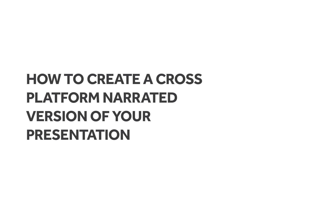# **HOW TO CREATE A CROSS PLATFORM NARRATED VERSION OF YOUR PRESENTATION**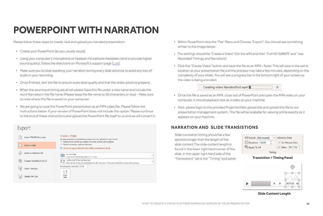Please follow these steps to create, test and upload you narrated presentation:

- Create your PowerPoint (as you usually would).
- Using your computer's microphone or headset microphone (headsets tend to provide higher sound quality), follow the directions on Microsoft's support page [\[Link\]](https://support.office.com/en-us/article/record-a-slide-show-with-narration-and-slide-timings-0b9502c6-5f6c-40ae-b1e7-e47d8741161c).
- Make sure you to stop speaking your narration during every slide advance to avoid any loss of audio in your recording.
- Once finished, test the file to ensure audio level quality and that the slides advance properly.
- When the sound and timing are all set please Save this file under a new name and include the word Narrated in the file name (Please keep the file name to 30 characters or less) - Make sure to note where this file is saved on your computer.
- We are going to save the PowerPoint presentation as an MP4 video file. Please follow the instructions below. If your version of PowerPoint does not include this option. Please continue to the end of these instructions and upload the PowerPoint file itself to us and we will convert it.

### Export Create a Video Create PDF/XPS Document Save your presentation as a video that you can burn to a disc, upload to the web, or email " Includes all recorded timings, narrations, ink strokes, and laser pointer gestures Preserves animations, transitions, and media Create a Video 2 Get help burning your slide show video to DVD or uploading it to the web  $\frac{D}{\left( \frac{dF}{dE}\right) }$ Create an Animated GIF Full HD (1080p) Large file size and full high quality (1512 x 1080) Use Recorded Timings and Narrations Package Presentation for CD Slides without timings will use the default duration (set below). This option includes ink and laser pointer gestures. Seconds spent on each slide: 05.00 ... 嚼 Create Handouts L, Create  $\mathbb{Z}$ Change File Type Video

## **POWERPOINT WITH NARRATION**

- Within PowerPoint click the "File" Menu and Choose "Export". You should see something similar to the image below:
- The settings should be "Create a Video" (On the left) and then "Full HD (1080P)" and "Use Recorded Timings and Narrations".
- Click the "Create Video" button and save the file as an MP4 Note: This will save in the same location as your presentation file and the process may take a few minutes, depending on the complexity of your slides. You will see a progress bar in the bottom right of your screen as the video is being encoded:

 $\times$ Creating video NarratedTest.mp4

- Once the file is saved as an MP4, close out of PowerPoint and open the MP4 video on your computer. It should playback now as a video on your machine.
- Now, please login to the provided ProjectionNet upload site and upload this file to our presentation management system. The file will be available for viewing online exactly as it appears on your machine.

### **NARRATION AND SLIDE TRANSISTIONS**

Slide transistion timing should be a few seconds longer than the length of the slide content.The slide content length is found in the lower right hand corner of the slide. In the upper right hand side of the "Transistions" tab is the "Timing" tool panel.

|                                                         | √) Sound: [No Sound] |  |  |  | ~   Advance Slide                               |  |  |
|---------------------------------------------------------|----------------------|--|--|--|-------------------------------------------------|--|--|
| Ø.<br>$\left(\frac{1}{2}\right)$ Duration: 02.00<br>346 |                      |  |  |  | $\vee$ On Mouse Click                           |  |  |
| 写 Apply To All                                          |                      |  |  |  | $\blacktriangleright$ After: 00:17.24 $\degree$ |  |  |
| Timing                                                  |                      |  |  |  |                                                 |  |  |

### **Slide Content Length**

### **Transistion > Timing Panel**

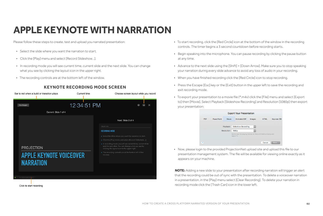Please follow these steps to create, test and upload you narrated presentation:

- Select the slide where you want the narration to start.
- Click the [Play] menu and select [Record Slideshow…].
- In recording mode you will see current time, current slide and the next slide. You can change what you see by clicking the layout icon in the upper right.
- The recording controls are at the bottom left of the window.





## **APPLE KEYNOTE WITH NARRATION**

- To start recording, click the [Red Circle] icon at the bottom of the window in the recording controls. The timer begins a 3 second countdown before recording starts.
- Begin speaking into the microphone. You can pause recording by clicking the pause button at any time.
- Advance to the next slide using the [Shift] + [Down Arrow]. Make sure you to stop speaking your narration during every slide advance to avoid any loss of audio in your recording.
- When you have finished recording click the [Red Circle] icon to stop recording.
- Press the Escape [Esc] key or the [Exit] button in the upper left to save the recording and exit recording mode.
- To export your presentation to a movie file (\*.m4v) click the [File] menu and select [Export to] then [Movie]. Select Playback [Slideshow Recording] and Resolution [1080p] then export your presentation:



### **KEYNOTE RECORDING MODE SCREEN**

Click to start recording

• Now, please login to the provided ProjectionNet upload site and upload this file to our presentation management system. The file will be available for viewing online exactly as it appears on your machine.

**NOTE:** Adding a new slide to your presentation after recording narration will trigger an alert that the recording could be out of sync with the presentation. To delete a voiceover narration in a presentation, in the [Play] menu select [Clear Recording]. To delete your narration in recording mode click the [Trash Can] icon in the lower left.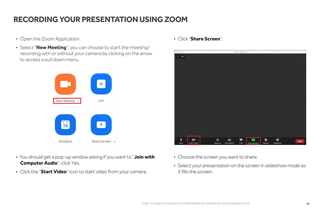

### **RECORDING YOUR PRESENTATION USING ZOOM**

- Open the Zoom Application. Click "**Share Screen**".
- Select "**New Meeting**", you can choose to start the meeting/ recording with or without your camera by clicking on the arrow to access a pull down menu.



- You should get a pop-up window asking if you want to "**Join with Computer Audio**", click Yes.
- Click the "**Start Video**" icon to start video from your camera.
- Choose the screen you want to share.
- Select your presentation on the screen in slideshow mode so it fills the screen.